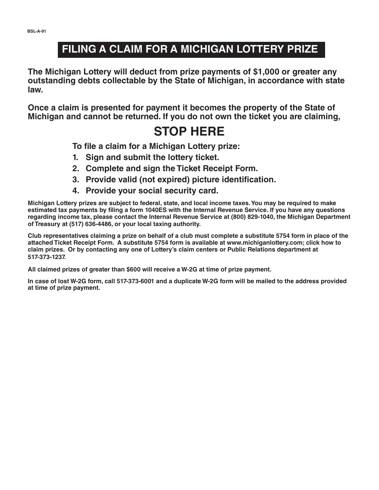## **FILING A CLAIM FOR A MICHIGAN LOTTERY PRIZE**

**The Michigan Lottery will deduct from prize payments of \$1,000 or greater any outstanding debts collectable by the State of Michigan, in accordance with state law.**

**Once a claim is presented for payment it becomes the property of the State of Michigan and cannot be returned. If you do not own the ticket you are claiming,**

## **STOP HERE**

**To file a claim for a Michigan Lottery prize:** 

- **1. Sign and submit the lottery ticket.**
- **2. Complete and sign the Ticket Receipt Form.**
- **3. Provide valid (not expired) picture identification.**
- **4. Provide your social security card.**

**Michigan Lottery prizes are subject to federal, state, and local income taxes. You may be required to make**  estimated tax payments by filing a form 1040ES with the Internal Revenue Service. If you have any questions **regarding income tax, please contact the Internal Revenue Service at (800) 829-1040, the Michigan Department of Treasury at (517) 636-4486, or your local taxing authority.**

**Club representatives claiming a prize on behalf of a club must complete a substitute 5754 form in place of the attached Ticket Receipt Form. A substitute 5754 form is available at www.michiganlottery.com; click how to claim prizes. Or by contacting any one of Lottery's claim centers or Public Relations department at 517-373-1237.**

**All claimed prizes of greater than \$600 will receive a W-2G at time of prize payment.**

**In case of lost W-2G form, call 517-373-6001 and a duplicate W-2G form will be mailed to the address provided at time of prize payment.**